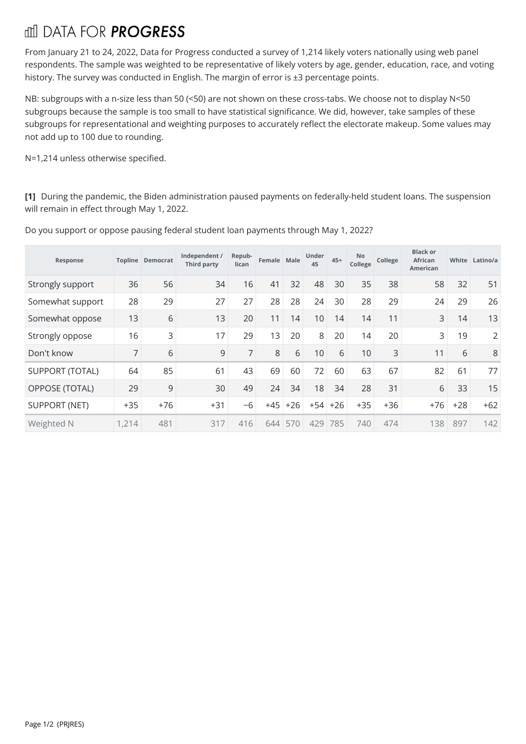## fill DATA FOR **PROGRESS**

From January 21 to 24, 2022, Data for Progress conducted a survey of 1,214 likely voters nationally using web panel respondents. The sample was weighted to be representative of likely voters by age, gender, education, race, and voting history. The survey was conducted in English. The margin of error is ±3 percentage points.

NB: subgroups with a n-size less than 50 (<50) are not shown on these cross-tabs. We choose not to display N<50 subgroups because the sample is too small to have statistical significance. We did, however, take samples of these subgroups for representational and weighting purposes to accurately reflect the electorate makeup. Some values may not add up to 100 due to rounding.

N=1,214 unless otherwise specified.

**[1]** During the pandemic, the Biden administration paused payments on federally-held student loans. The suspension will remain in effect through May 1, 2022.

| Response               |       | <b>Topline Democrat</b> | Independent /<br>Third party | Repub-<br>lican | Female Male |       | Under<br>45 | $45+$ | No<br>College | College | <b>Black or</b><br><b>African</b><br><b>American</b> | White | Latino/a       |
|------------------------|-------|-------------------------|------------------------------|-----------------|-------------|-------|-------------|-------|---------------|---------|------------------------------------------------------|-------|----------------|
| Strongly support       | 36    | 56                      | 34                           | 16              | 41          | 32    | 48          | 30    | 35            | 38      | 58                                                   | 32    | 51             |
| Somewhat support       | 28    | 29                      | 27                           | 27              | 28          | 28    | 24          | 30    | 28            | 29      | 24                                                   | 29    | 26             |
| Somewhat oppose        | 13    | 6                       | 13                           | 20              | 11          | 14    | 10          | 14    | 14            | 11      | 3                                                    | 14    | 13             |
| Strongly oppose        | 16    | 3                       | 17                           | 29              | 13          | 20    | 8           | 20    | 14            | 20      | 3                                                    | 19    | $\overline{2}$ |
| Don't know             | 7     | 6                       | 9                            | 7               | 8           | 6     | 10          | 6     | 10            | 3       | 11                                                   | 6     | 8              |
| <b>SUPPORT (TOTAL)</b> | 64    | 85                      | 61                           | 43              | 69          | 60    | 72          | 60    | 63            | 67      | 82                                                   | 61    | 77             |
| OPPOSE (TOTAL)         | 29    | 9                       | 30                           | 49              | 24          | 34    | 18          | 34    | 28            | 31      | 6                                                    | 33    | 15             |
| <b>SUPPORT (NET)</b>   | $+35$ | $+76$                   | $+31$                        | $-6$            | $+45$       | $+26$ | $+54$       | $+26$ | $+35$         | $+36$   | $+76$                                                | $+28$ | $+62$          |
| Weighted N             | 1,214 | 481                     | 317                          | 416             | 644         | 570   | 429         | 785   | 740           | 474     | 138                                                  | 897   | 142            |

Do you support or oppose pausing federal student loan payments through May 1,2022?